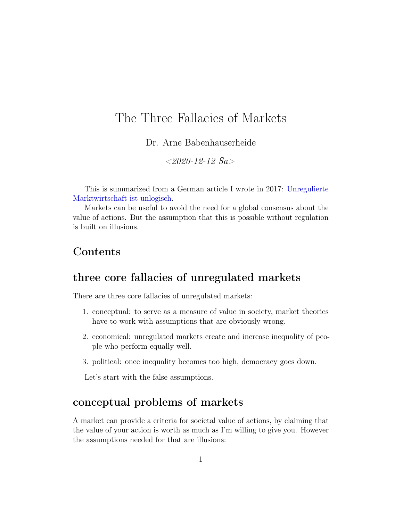# The Three Fallacies of Markets

Dr. Arne Babenhauserheide

 $< 2020 - 12 - 12$  Sa

This is summarized from a German article I wrote in 2017: [Unregulierte](https://www.draketo.de/deutsch/politik/unregulierte-marktwirtschaft) [Marktwirtschaft ist unlogisch.](https://www.draketo.de/deutsch/politik/unregulierte-marktwirtschaft)

Markets can be useful to avoid the need for a global consensus about the value of actions. But the assumption that this is possible without regulation is built on illusions.

## Contents

### three core fallacies of unregulated markets

There are three core fallacies of unregulated markets:

- 1. conceptual: to serve as a measure of value in society, market theories have to work with assumptions that are obviously wrong.
- 2. economical: unregulated markets create and increase inequality of people who perform equally well.
- 3. political: once inequality becomes too high, democracy goes down.

Let's start with the false assumptions.

## conceptual problems of markets

A market can provide a criteria for societal value of actions, by claiming that the value of your action is worth as much as I'm willing to give you. However the assumptions needed for that are illusions: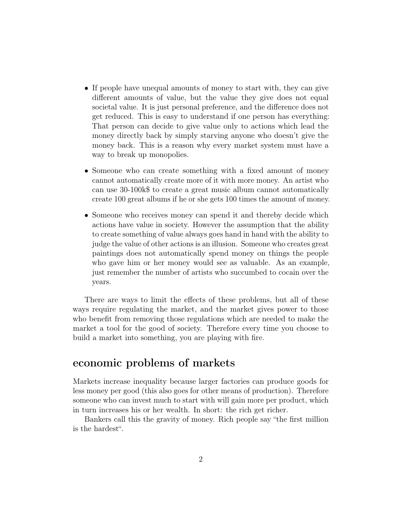- If people have unequal amounts of money to start with, they can give different amounts of value, but the value they give does not equal societal value. It is just personal preference, and the difference does not get reduced. This is easy to understand if one person has everything: That person can decide to give value only to actions which lead the money directly back by simply starving anyone who doesn't give the money back. This is a reason why every market system must have a way to break up monopolies.
- Someone who can create something with a fixed amount of money cannot automatically create more of it with more money. An artist who can use 30-100k\$ to create a great music album cannot automatically create 100 great albums if he or she gets 100 times the amount of money.
- Someone who receives money can spend it and thereby decide which actions have value in society. However the assumption that the ability to create something of value always goes hand in hand with the ability to judge the value of other actions is an illusion. Someone who creates great paintings does not automatically spend money on things the people who gave him or her money would see as valuable. As an example, just remember the number of artists who succumbed to cocain over the years.

There are ways to limit the effects of these problems, but all of these ways require regulating the market, and the market gives power to those who benefit from removing those regulations which are needed to make the market a tool for the good of society. Therefore every time you choose to build a market into something, you are playing with fire.

## economic problems of markets

Markets increase inequality because larger factories can produce goods for less money per good (this also goes for other means of production). Therefore someone who can invest much to start with will gain more per product, which in turn increases his or her wealth. In short: the rich get richer.

Bankers call this the gravity of money. Rich people say "the first million is the hardest".